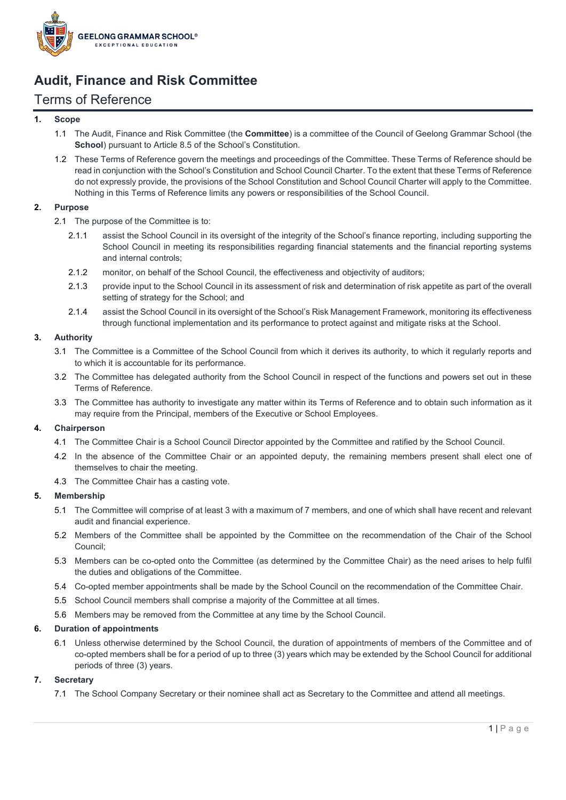

# **Audit, Finance and Risk Committee**

# Terms of Reference

# **1. Scope**

- 1.1 The Audit, Finance and Risk Committee (the **Committee**) is a committee of the Council of Geelong Grammar School (the **School**) pursuant to Article 8.5 of the School's Constitution.
- 1.2 These Terms of Reference govern the meetings and proceedings of the Committee. These Terms of Reference should be read in conjunction with the School's Constitution and School Council Charter. To the extent that these Terms of Reference do not expressly provide, the provisions of the School Constitution and School Council Charter will apply to the Committee. Nothing in this Terms of Reference limits any powers or responsibilities of the School Council.

# **2. Purpose**

- 2.1 The purpose of the Committee is to:
	- 2.1.1 assist the School Council in its oversight of the integrity of the School's finance reporting, including supporting the School Council in meeting its responsibilities regarding financial statements and the financial reporting systems and internal controls;
	- 2.1.2 monitor, on behalf of the School Council, the effectiveness and objectivity of auditors;
	- 2.1.3 provide input to the School Council in its assessment of risk and determination of risk appetite as part of the overall setting of strategy for the School; and
	- 2.1.4 assist the School Council in its oversight of the School's Risk Management Framework, monitoring its effectiveness through functional implementation and its performance to protect against and mitigate risks at the School.

# **3. Authority**

- 3.1 The Committee is a Committee of the School Council from which it derives its authority, to which it regularly reports and to which it is accountable for its performance.
- 3.2 The Committee has delegated authority from the School Council in respect of the functions and powers set out in these Terms of Reference.
- 3.3 The Committee has authority to investigate any matter within its Terms of Reference and to obtain such information as it may require from the Principal, members of the Executive or School Employees.

#### **4. Chairperson**

- 4.1 The Committee Chair is a School Council Director appointed by the Committee and ratified by the School Council.
- 4.2 In the absence of the Committee Chair or an appointed deputy, the remaining members present shall elect one of themselves to chair the meeting.
- 4.3 The Committee Chair has a casting vote.

#### **5. Membership**

- 5.1 The Committee will comprise of at least 3 with a maximum of 7 members, and one of which shall have recent and relevant audit and financial experience.
- 5.2 Members of the Committee shall be appointed by the Committee on the recommendation of the Chair of the School Council;
- 5.3 Members can be co-opted onto the Committee (as determined by the Committee Chair) as the need arises to help fulfil the duties and obligations of the Committee.
- 5.4 Co-opted member appointments shall be made by the School Council on the recommendation of the Committee Chair.
- 5.5 School Council members shall comprise a majority of the Committee at all times.
- 5.6 Members may be removed from the Committee at any time by the School Council.

# **6. Duration of appointments**

6.1 Unless otherwise determined by the School Council, the duration of appointments of members of the Committee and of co-opted members shall be for a period of up to three (3) years which may be extended by the School Council for additional periods of three (3) years.

#### **7. Secretary**

7.1 The School Company Secretary or their nominee shall act as Secretary to the Committee and attend all meetings.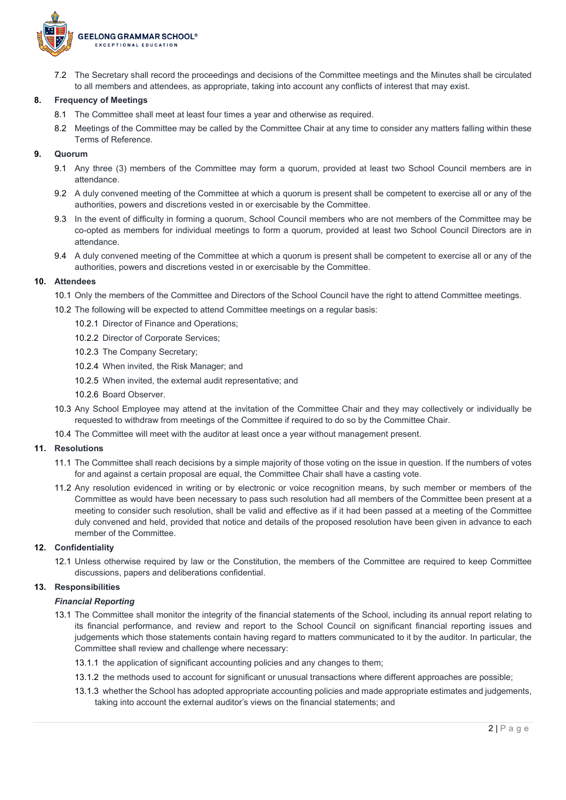

7.2 The Secretary shall record the proceedings and decisions of the Committee meetings and the Minutes shall be circulated to all members and attendees, as appropriate, taking into account any conflicts of interest that may exist.

#### **8. Frequency of Meetings**

- 8.1 The Committee shall meet at least four times a year and otherwise as required.
- 8.2 Meetings of the Committee may be called by the Committee Chair at any time to consider any matters falling within these Terms of Reference.

#### **9. Quorum**

- 9.1 Any three (3) members of the Committee may form a quorum, provided at least two School Council members are in attendance.
- 9.2 A duly convened meeting of the Committee at which a quorum is present shall be competent to exercise all or any of the authorities, powers and discretions vested in or exercisable by the Committee.
- 9.3 In the event of difficulty in forming a quorum, School Council members who are not members of the Committee may be co-opted as members for individual meetings to form a quorum, provided at least two School Council Directors are in attendance.
- 9.4 A duly convened meeting of the Committee at which a quorum is present shall be competent to exercise all or any of the authorities, powers and discretions vested in or exercisable by the Committee.

#### **10. Attendees**

- 10.1 Only the members of the Committee and Directors of the School Council have the right to attend Committee meetings.
- 10.2 The following will be expected to attend Committee meetings on a regular basis:
	- 10.2.1 Director of Finance and Operations;
	- 10.2.2 Director of Corporate Services;
	- 10.2.3 The Company Secretary;
	- 10.2.4 When invited, the Risk Manager; and
	- 10.2.5 When invited, the external audit representative; and
	- 10.2.6 Board Observer.
- 10.3 Any School Employee may attend at the invitation of the Committee Chair and they may collectively or individually be requested to withdraw from meetings of the Committee if required to do so by the Committee Chair.
- 10.4 The Committee will meet with the auditor at least once a year without management present.

#### **11. Resolutions**

- 11.1 The Committee shall reach decisions by a simple majority of those voting on the issue in question. If the numbers of votes for and against a certain proposal are equal, the Committee Chair shall have a casting vote.
- 11.2 Any resolution evidenced in writing or by electronic or voice recognition means, by such member or members of the Committee as would have been necessary to pass such resolution had all members of the Committee been present at a meeting to consider such resolution, shall be valid and effective as if it had been passed at a meeting of the Committee duly convened and held, provided that notice and details of the proposed resolution have been given in advance to each member of the Committee.

#### **12. Confidentiality**

12.1 Unless otherwise required by law or the Constitution, the members of the Committee are required to keep Committee discussions, papers and deliberations confidential.

#### **13. Responsibilities**

#### *Financial Reporting*

- 13.1 The Committee shall monitor the integrity of the financial statements of the School, including its annual report relating to its financial performance, and review and report to the School Council on significant financial reporting issues and judgements which those statements contain having regard to matters communicated to it by the auditor. In particular, the Committee shall review and challenge where necessary:
	- 13.1.1 the application of significant accounting policies and any changes to them;
	- 13.1.2 the methods used to account for significant or unusual transactions where different approaches are possible;
	- 13.1.3 whether the School has adopted appropriate accounting policies and made appropriate estimates and judgements, taking into account the external auditor's views on the financial statements; and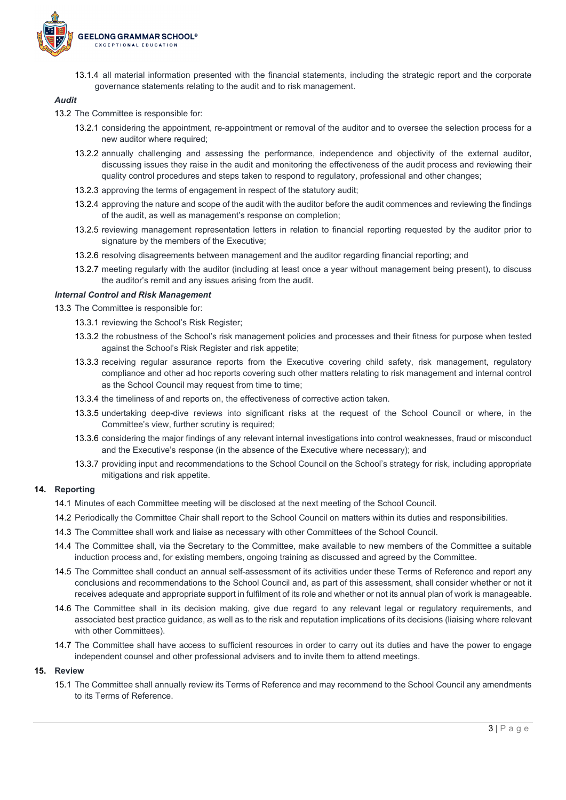

13.1.4 all material information presented with the financial statements, including the strategic report and the corporate governance statements relating to the audit and to risk management.

#### *Audit*

- 13.2 The Committee is responsible for:
	- 13.2.1 considering the appointment, re-appointment or removal of the auditor and to oversee the selection process for a new auditor where required;
	- 13.2.2 annually challenging and assessing the performance, independence and objectivity of the external auditor, discussing issues they raise in the audit and monitoring the effectiveness of the audit process and reviewing their quality control procedures and steps taken to respond to regulatory, professional and other changes;
	- 13.2.3 approving the terms of engagement in respect of the statutory audit;
	- 13.2.4 approving the nature and scope of the audit with the auditor before the audit commences and reviewing the findings of the audit, as well as management's response on completion;
	- 13.2.5 reviewing management representation letters in relation to financial reporting requested by the auditor prior to signature by the members of the Executive;
	- 13.2.6 resolving disagreements between management and the auditor regarding financial reporting; and
	- 13.2.7 meeting regularly with the auditor (including at least once a year without management being present), to discuss the auditor's remit and any issues arising from the audit.

#### *Internal Control and Risk Management*

13.3 The Committee is responsible for:

- 13.3.1 reviewing the School's Risk Register;
- 13.3.2 the robustness of the School's risk management policies and processes and their fitness for purpose when tested against the School's Risk Register and risk appetite;
- 13.3.3 receiving regular assurance reports from the Executive covering child safety, risk management, regulatory compliance and other ad hoc reports covering such other matters relating to risk management and internal control as the School Council may request from time to time;
- 13.3.4 the timeliness of and reports on, the effectiveness of corrective action taken.
- 13.3.5 undertaking deep-dive reviews into significant risks at the request of the School Council or where, in the Committee's view, further scrutiny is required;
- 13.3.6 considering the major findings of any relevant internal investigations into control weaknesses, fraud or misconduct and the Executive's response (in the absence of the Executive where necessary); and
- 13.3.7 providing input and recommendations to the School Council on the School's strategy for risk, including appropriate mitigations and risk appetite.

# **14. Reporting**

- 14.1 Minutes of each Committee meeting will be disclosed at the next meeting of the School Council.
- 14.2 Periodically the Committee Chair shall report to the School Council on matters within its duties and responsibilities.
- 14.3 The Committee shall work and liaise as necessary with other Committees of the School Council.
- 14.4 The Committee shall, via the Secretary to the Committee, make available to new members of the Committee a suitable induction process and, for existing members, ongoing training as discussed and agreed by the Committee.
- 14.5 The Committee shall conduct an annual self-assessment of its activities under these Terms of Reference and report any conclusions and recommendations to the School Council and, as part of this assessment, shall consider whether or not it receives adequate and appropriate support in fulfilment of its role and whether or not its annual plan of work is manageable.
- 14.6 The Committee shall in its decision making, give due regard to any relevant legal or regulatory requirements, and associated best practice guidance, as well as to the risk and reputation implications of its decisions (liaising where relevant with other Committees).
- 14.7 The Committee shall have access to sufficient resources in order to carry out its duties and have the power to engage independent counsel and other professional advisers and to invite them to attend meetings.

#### **15. Review**

15.1 The Committee shall annually review its Terms of Reference and may recommend to the School Council any amendments to its Terms of Reference.